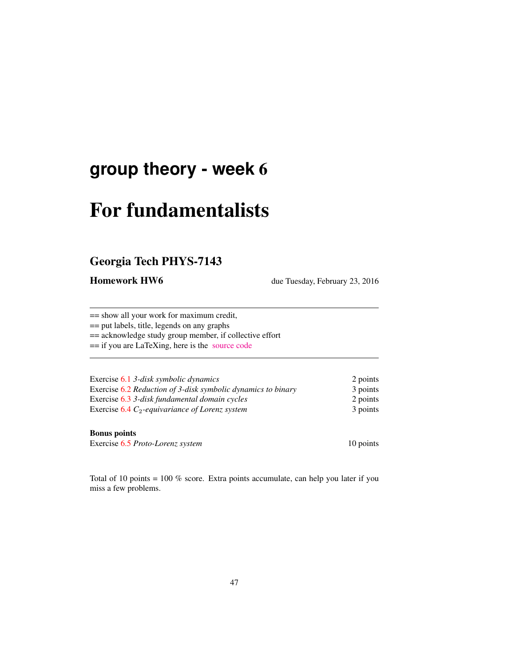## **group theory - week** 6

# For fundamentalists

## Georgia Tech PHYS-7143

Homework HW6 due Tuesday, February 23, 2016

== show all your work for maximum credit,

== put labels, title, legends on any graphs

== acknowledge study group member, if collective effort

== if you are LaTeXing, here is the [source code](http://birdtracks.eu/courses/PHYS-7143-16/exerWeek6.tex)

| Exercise 6.1 3-disk symbolic dynamics                        | 2 points |
|--------------------------------------------------------------|----------|
| Exercise 6.2 Reduction of 3-disk symbolic dynamics to binary | 3 points |
| Exercise 6.3 3-disk fundamental domain cycles                | 2 points |
| Exercise $6.4 C_2$ -equivariance of Lorenz system            | 3 points |

#### Bonus points

Exercise 6.5 *Proto-Lorenz system* 10 points

Total of 10 points = 100 % score. Extra points accumulate, can help you later if you miss a few problems.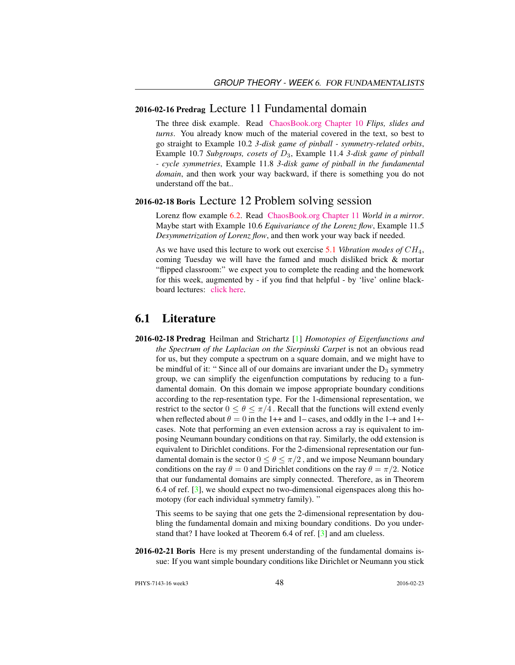#### 2016-02-16 Predrag Lecture 11 Fundamental domain

The three disk example. Read [ChaosBook.org Chapter 10](http://birdtracks.eu/courses/PHYS-7143-16/finiteGr.pdf) *Flips, slides and turns*. You already know much of the material covered in the text, so best to go straight to Example 10.2 *3-disk game of pinball - symmetry-related orbits*, Example 10.7 *Subgroups, cosets of* D3, Example 11.4 *3-disk game of pinball - cycle symmetries*, Example 11.8 *3-disk game of pinball in the fundamental domain*, and then work your way backward, if there is something you do not understand off the bat..

### 2016-02-18 Boris Lecture 12 Problem solving session

Lorenz flow example 6.2. Read [ChaosBook.org Chapter 11](http://birdtracks.eu/courses/PHYS-7143-16/discrete.pdf) *World in a mirror*. Maybe start with Example 10.6 *Equivariance of the Lorenz flow*, Example 11.5 *Desymmetrization of Lorenz flow*, and then work your way back if needed.

As we have used this lecture to work out exercise 5.1 *Vibration modes of* CH4, coming Tuesday we will have the famed and much disliked brick & mortar "flipped classroom:" we expect you to complete the reading and the homework for this week, augmented by - if you find that helpful - by 'live' online blackboard lectures: [click here.](http://chaosbook.org/course1/Course1w4.html)

## 6.1 Literature

2016-02-18 Predrag Heilman and Strichartz [1] *Homotopies of Eigenfunctions and the Spectrum of the Laplacian on the Sierpinski Carpet* is not an obvious read for us, but they compute a spectrum on a square domain, and we might have to be mindful of it: " Since all of our domains are invariant under the  $D_3$  symmetry group, we can simplify the eigenfunction computations by reducing to a fundamental domain. On this domain we impose appropriate boundary conditions according to the rep-resentation type. For the 1-dimensional representation, we restrict to the sector  $0 \le \theta \le \pi/4$ . Recall that the functions will extend evenly when reflected about  $\theta = 0$  in the 1++ and 1– cases, and oddly in the 1-+ and 1+cases. Note that performing an even extension across a ray is equivalent to imposing Neumann boundary conditions on that ray. Similarly, the odd extension is equivalent to Dirichlet conditions. For the 2-dimensional representation our fundamental domain is the sector  $0 \le \theta \le \pi/2$ , and we impose Neumann boundary conditions on the ray  $\theta = 0$  and Dirichlet conditions on the ray  $\theta = \pi/2$ . Notice that our fundamental domains are simply connected. Therefore, as in Theorem 6.4 of ref.  $\lceil 3 \rceil$ , we should expect no two-dimensional eigenspaces along this homotopy (for each individual symmetry family). "

This seems to be saying that one gets the 2-dimensional representation by doubling the fundamental domain and mixing boundary conditions. Do you understand that? I have looked at Theorem 6.4 of ref. [3] and am clueless.

2016-02-21 Boris Here is my present understanding of the fundamental domains issue: If you want simple boundary conditions like Dirichlet or Neumann you stick

PHYS-7143-16 week3 2016-02-23 2016-02-23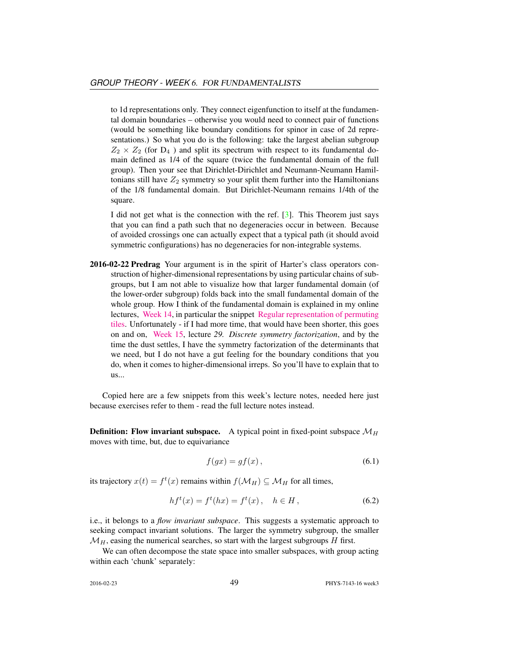to 1d representations only. They connect eigenfunction to itself at the fundamental domain boundaries – otherwise you would need to connect pair of functions (would be something like boundary conditions for spinor in case of 2d representations.) So what you do is the following: take the largest abelian subgroup  $Z_2 \times Z_2$  (for  $D_4$ ) and split its spectrum with respect to its fundamental domain defined as 1/4 of the square (twice the fundamental domain of the full group). Then your see that Dirichlet-Dirichlet and Neumann-Neumann Hamiltonians still have  $Z_2$  symmetry so your split them further into the Hamiltonians of the 1/8 fundamental domain. But Dirichlet-Neumann remains 1/4th of the square.

I did not get what is the connection with the ref. [3]. This Theorem just says that you can find a path such that no degeneracies occur in between. Because of avoided crossings one can actually expect that a typical path (it should avoid symmetric configurations) has no degeneracies for non-integrable systems.

2016-02-22 Predrag Your argument is in the spirit of Harter's class operators construction of higher-dimensional representations by using particular chains of subgroups, but I am not able to visualize how that larger fundamental domain (of the lower-order subgroup) folds back into the small fundamental domain of the whole group. How I think of the fundamental domain is explained in my online lectures, [Week 14,](http://chaosbook.org/course1/Course2w14.html) in particular the snippet [Regular representation of permuting](http://www.youtube.com/embed/SnBUkUqsWTU) [tiles.](http://www.youtube.com/embed/SnBUkUqsWTU) Unfortunately - if I had more time, that would have been shorter, this goes on and on, [Week 15,](http://chaosbook.org/course1/Course2w15.html) lecture *29. Discrete symmetry factorization*, and by the time the dust settles, I have the symmetry factorization of the determinants that we need, but I do not have a gut feeling for the boundary conditions that you do, when it comes to higher-dimensional irreps. So you'll have to explain that to us...

Copied here are a few snippets from this week's lecture notes, needed here just because exercises refer to them - read the full lecture notes instead.

**Definition: Flow invariant subspace.** A typical point in fixed-point subspace  $\mathcal{M}_H$ moves with time, but, due to equivariance

$$
f(gx) = gf(x),\tag{6.1}
$$

its trajectory  $x(t) = f^t(x)$  remains within  $f(\mathcal{M}_H) \subseteq \mathcal{M}_H$  for all times,

$$
hf^{t}(x) = f^{t}(hx) = f^{t}(x), \quad h \in H,
$$
\n(6.2)

i.e., it belongs to a *flow invariant subspace*. This suggests a systematic approach to seeking compact invariant solutions. The larger the symmetry subgroup, the smaller  $\mathcal{M}_H$ , easing the numerical searches, so start with the largest subgroups  $H$  first.

We can often decompose the state space into smaller subspaces, with group acting within each 'chunk' separately: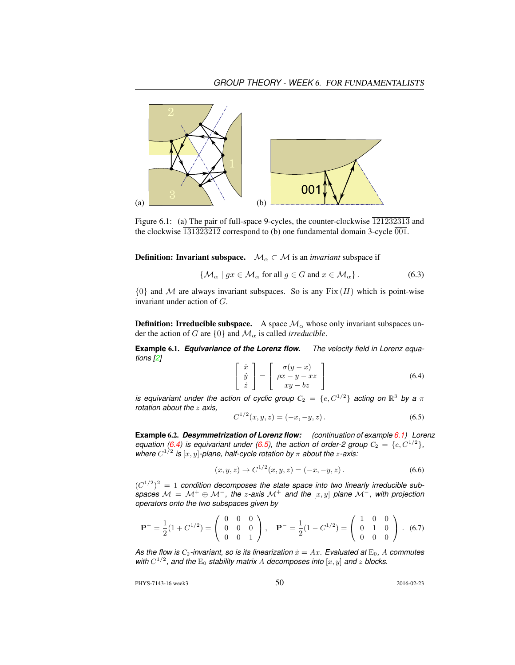

Figure 6.1: (a) The pair of full-space 9-cycles, the counter-clockwise  $\overline{121232313}$  and the clockwise  $\overline{131323212}$  correspond to (b) one fundamental domain 3-cycle  $\overline{001}$ .

**Definition: Invariant subspace.**  $\mathcal{M}_\alpha \subset \mathcal{M}$  is an *invariant* subspace if

$$
\{ \mathcal{M}_{\alpha} \mid gx \in \mathcal{M}_{\alpha} \text{ for all } g \in G \text{ and } x \in \mathcal{M}_{\alpha} \}.
$$
 (6.3)

 ${0}$  and M are always invariant subspaces. So is any  $Fix(H)$  which is point-wise invariant under action of G.

**Definition: Irreducible subspace.** A space  $\mathcal{M}_{\alpha}$  whose only invariant subspaces under the action of G are  $\{0\}$  and  $\mathcal{M}_{\alpha}$  is called *irreducible*.

**Example** 6.1. *Equivariance of the Lorenz flow. The velocity field in Lorenz equations [2]*

$$
\begin{bmatrix} \dot{x} \\ \dot{y} \\ \dot{z} \end{bmatrix} = \begin{bmatrix} \sigma(y-x) \\ \rho x - y - xz \\ xy - bz \end{bmatrix}
$$
 (6.4)

*is equivariant under the action of cyclic group*  $C_2 = \{e, C^{1/2}\}$  acting on  $\mathbb{R}^3$  by a  $\pi$ *rotation about the* z *axis,*

$$
C^{1/2}(x, y, z) = (-x, -y, z). \tag{6.5}
$$

**Example** 6.2. *Desymmetrization of Lorenz flow: (continuation of example 6.1) Lorenz equation (6.4) is equivariant under (6.5), the action of order-2 group*  $C_2 = \{e, C^{1/2}\},$ where  $C^{1/2}$  is  $[x, y]$ -plane, half-cycle rotation by  $\pi$  about the *z*-axis:

$$
(x, y, z) \to C^{1/2}(x, y, z) = (-x, -y, z).
$$
 (6.6)

 $(C^{1/2})^2 = 1$  condition decomposes the state space into two linearly irreducible sub*spaces*  $M = M^+ \oplus M^-$ , the *z*-axis  $M^+$  and the  $[x, y]$  plane  $M^-$ , with projection *operators onto the two subspaces given by*

$$
\mathbf{P}^{+} = \frac{1}{2}(1 + C^{1/2}) = \begin{pmatrix} 0 & 0 & 0 \\ 0 & 0 & 0 \\ 0 & 0 & 1 \end{pmatrix}, \quad \mathbf{P}^{-} = \frac{1}{2}(1 - C^{1/2}) = \begin{pmatrix} 1 & 0 & 0 \\ 0 & 1 & 0 \\ 0 & 0 & 0 \end{pmatrix}. \tag{6.7}
$$

As the flow is  $C_2$ -invariant, so is its linearization  $\dot{x} = Ax$ . Evaluated at  $E_0$ , A commutes with  $C^{1/2}$ , and the  $E_0$  stability matrix A decomposes into  $[x, y]$  and z blocks.

PHYS-7143-16 week3 2016-02-23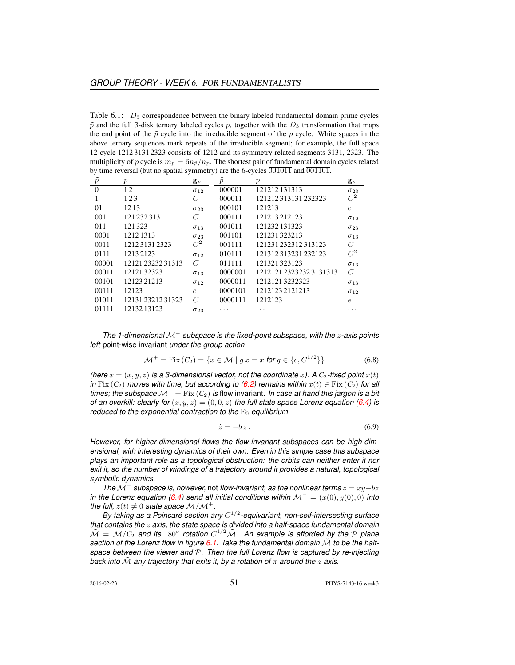Table  $6.1$ :  $D_3$  correspondence between the binary labeled fundamental domain prime cycles  $\tilde{p}$  and the full 3-disk ternary labeled cycles p, together with the  $D_3$  transformation that maps the end point of the  $\tilde{p}$  cycle into the irreducible segment of the  $p$  cycle. White spaces in the above ternary sequences mark repeats of the irreducible segment; for example, the full space 12-cycle 1212 3131 2323 consists of 1212 and its symmetry related segments 3131, 2323. The multiplicity of p cycle is  $m_p = 6n_{\tilde{p}}/n_p$ . The shortest pair of fundamental domain cycles related by time reversal (but no spatial symmetry) are the 6-cycles  $\overline{001011}$  and  $\overline{001101}$ .

| $\tilde{p}$ | $\boldsymbol{p}$  | $\mathbf{g}_{\tilde{p}}$ | $\boldsymbol{p}$ | $\boldsymbol{p}$      | $\mathbf{g}_{\tilde{p}}$ |
|-------------|-------------------|--------------------------|------------------|-----------------------|--------------------------|
| $\theta$    | 12                | $\sigma_{12}$            | 000001           | 121212131313          | $\sigma_{23}$            |
| 1           | 123               | C                        | 000011           | 121212313131232323    | $C^2$                    |
| $_{01}$     | 1213              | $\sigma_{23}$            | 000101           | 121213                | $\epsilon$               |
| 001         | 121 232 313       | C                        | 000111           | 121213212123          | $\sigma_{12}$            |
| 011         | 121323            | $\sigma_{13}$            | 001011           | 121232 131323         | $\sigma_{23}$            |
| 0001        | 12121313          | $\sigma_{23}$            | 001101           | 121231323213          | $\sigma_{13}$            |
| 0011        | 121231312323      | $C^2$                    | 001111           | 121231 232312 313123  | C                        |
| 0111        | 12132123          | $\sigma_{12}$            | 010111           | 121312313231232123    | $C^2$                    |
| 00001       | 12121 23232 31313 | C                        | 011111           | 121321323123          | $\sigma_{13}$            |
| 00011       | 1212132323        | $\sigma_{13}$            | 0000001          | 121212123232323131313 | $\mathcal{C}$            |
| 00101       | 12123 21213       | $\sigma_{12}$            | 0000011          | 12121213232323        | $\sigma_{13}$            |
| 00111       | 12123             | $\epsilon$               | 0000101          | 1212123 2121213       | $\sigma_{12}$            |
| 01011       | 121312321231323   | C                        | 0000111          | 1212123               | $\epsilon$               |
| 01111       | 1213213123        | $\sigma_{23}$            |                  | .                     |                          |

*The 1-dimensional* M<sup>+</sup> *subspace is the fixed-point subspace, with the* z*-axis points left* point-wise invariant *under the group action*

$$
\mathcal{M}^+ = \text{Fix}\,(C_2) = \{x \in \mathcal{M} \mid g \, x = x \text{ for } g \in \{e, C^{1/2}\}\}\tag{6.8}
$$

*(here*  $x = (x, y, z)$  *is a 3-dimensional vector, not the coordinate x).* A  $C_2$ -fixed point  $x(t)$ *in* Fix  $(C_2)$  *moves with time, but according to*  $(6.2)$  *remains within*  $x(t) \in Fix(C_2)$  *for all times; the subspace*  $\mathcal{M}^+$  = Fix  $(C_2)$  *is flow invariant. In case at hand this jargon is a bit of an overkill: clearly for*  $(x, y, z) = (0, 0, z)$  *the full state space Lorenz equation (6.4) is reduced to the exponential contraction to the*  $E_0$  *equilibrium,* 

$$
\dot{z} = -bz \,. \tag{6.9}
$$

*However, for higher-dimensional flows the flow-invariant subspaces can be high-dimensional, with interesting dynamics of their own. Even in this simple case this subspace plays an important role as a topological obstruction: the orbits can neither enter it nor exit it, so the number of windings of a trajectory around it provides a natural, topological symbolic dynamics.*

*The*  $M^-$  *subspace is, however, not flow-invariant, as the nonlinear terms*  $\dot{z} = xy-bz$ *in the Lorenz equation (6.4)* send all initial conditions within  $\mathcal{M}^- = (x(0), y(0), 0)$  into *the full,*  $z(t) \neq 0$  *state space*  $M/M^+$ .

By taking as a Poincaré section any  $C^{1/2}$ -equivariant, non-self-intersecting surface *that contains the* z *axis, the state space is divided into a half-space fundamental domain*  $\tilde{\cal M}$  =  ${\cal M}/C_2$  and its 180° rotation  $C^{1/2}\tilde{\cal M}$ . An example is afforded by the  ${\cal P}$  plane section of the Lorenz flow in figure 6.1. Take the fundamental domain  $\tilde{M}$  to be the half*space between the viewer and* P*. Then the full Lorenz flow is captured by re-injecting back into*  $\tilde{M}$  *any trajectory that exits it, by a rotation of*  $\pi$  *around the*  $z$  *axis.*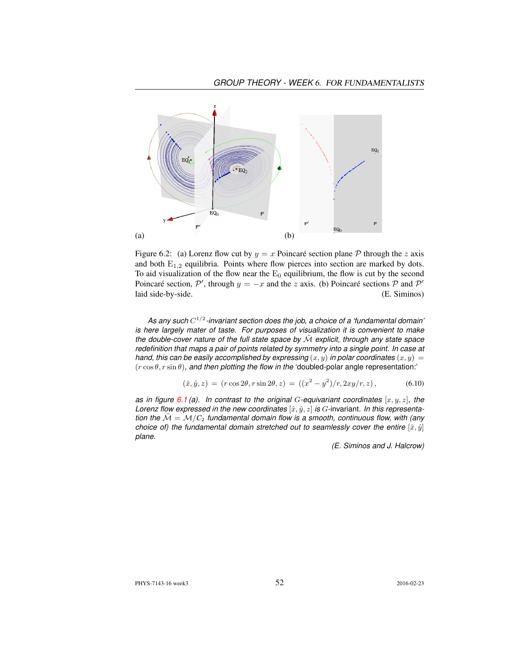

Figure 6.2: (a) Lorenz flow cut by  $y = x$  Poincaré section plane P through the z axis and both  $E_{1,2}$  equilibria. Points where flow pierces into section are marked by dots. To aid visualization of the flow near the  $E_0$  equilibrium, the flow is cut by the second Poincaré section,  $\mathcal{P}'$ , through  $y = -x$  and the z axis. (b) Poincaré sections  $\mathcal P$  and  $\mathcal P'$ laid side-by-side. (E. Siminos)

*As any such* C 1/2 *-invariant section does the job, a choice of a 'fundamental domain' is here largely mater of taste. For purposes of visualization it is convenient to make the double-cover nature of the full state space by* M˜ *explicit, through any state space redefinition that maps a pair of points related by symmetry into a single point. In case at hand, this can be easily accomplished by expressing*  $(x, y)$  *in polar coordinates*  $(x, y) =$ (r cos θ, r sin θ)*, and then plotting the flow in the* 'doubled-polar angle representation:'

$$
(\hat{x}, \hat{y}, z) = (r \cos 2\theta, r \sin 2\theta, z) = ((x^2 - y^2)/r, 2xy/r, z), \tag{6.10}
$$

*as in figure*  $6.1$  (a). In contrast to the original G-equivariant coordinates  $[x, y, z]$ , the *Lorenz flow expressed in the new coordinates*  $[\hat{x}, \hat{y}, z]$  *is G*-invariant. In this representa*tion the*  $M = M/C_2$  *fundamental domain flow is a smooth, continuous flow, with (any choice of) the fundamental domain stretched out to seamlessly cover the entire*  $[\hat{x}, \hat{y}]$ *plane.*

*(E. Siminos and J. Halcrow)*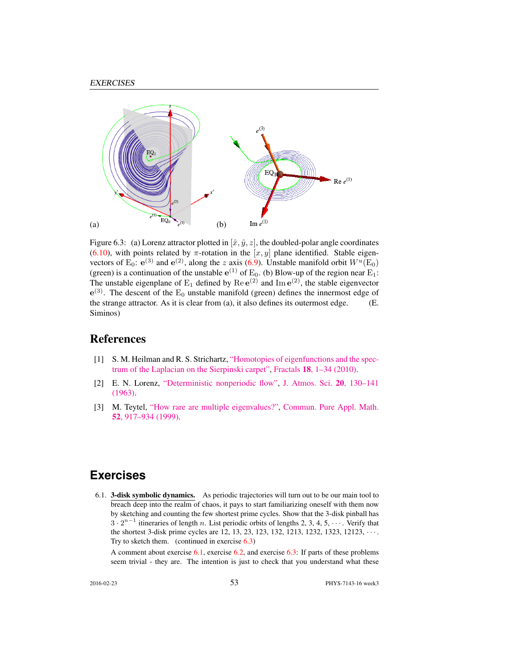

Figure 6.3: (a) Lorenz attractor plotted in  $[\hat{x}, \hat{y}, z]$ , the doubled-polar angle coordinates (6.10), with points related by  $\pi$ -rotation in the  $[x, y]$  plane identified. Stable eigenvectors of E<sub>0</sub>:  $e^{(3)}$  and  $e^{(2)}$ , along the z axis (6.9). Unstable manifold orbit  $W^u(\text{E}_0)$ (green) is a continuation of the unstable  $e^{(1)}$  of  $E_0$ . (b) Blow-up of the region near  $E_1$ : The unstable eigenplane of  $E_1$  defined by  $\text{Re }e^{(2)}$  and  $\text{Im }e^{(2)}$ , the stable eigenvector  $e^{(3)}$ . The descent of the  $E_0$  unstable manifold (green) defines the innermost edge of the strange attractor. As it is clear from (a), it also defines its outermost edge. (E. Siminos)

## **References**

- [1] S. M. Heilman and R. S. Strichartz, ["Homotopies of eigenfunctions and the spec](http://dx.doi.org/10.1142/S0218348X10004750)[trum of the Laplacian on the Sierpinski carpet",](http://dx.doi.org/10.1142/S0218348X10004750) Fractals 18[, 1–34 \(2010\).](http://dx.doi.org/10.1142/S0218348X10004750)
- [2] E. N. Lorenz, ["Deterministic nonperiodic flow",](http://dx.doi.org/10.1175/1520-0469(1963)020<0130:DNF>2.0.CO;2) [J. Atmos. Sci.](http://dx.doi.org/10.1175/1520-0469(1963)020<0130:DNF>2.0.CO;2) 20, 130–141 [\(1963\).](http://dx.doi.org/10.1175/1520-0469(1963)020<0130:DNF>2.0.CO;2)
- [3] M. Teytel, ["How rare are multiple eigenvalues?",](http://dx.doi.org/10.1002/(SICI)1097-0312(199908)52:8<917::AID-CPA1>3.0.CO;2-S) [Commun. Pure Appl. Math.](http://dx.doi.org/10.1002/(SICI)1097-0312(199908)52:8<917::AID-CPA1>3.0.CO;2-S) 52[, 917–934 \(1999\).](http://dx.doi.org/10.1002/(SICI)1097-0312(199908)52:8<917::AID-CPA1>3.0.CO;2-S)

## **Exercises**

6.1. 3-disk symbolic dynamics. As periodic trajectories will turn out to be our main tool to breach deep into the realm of chaos, it pays to start familiarizing oneself with them now by sketching and counting the few shortest prime cycles. Show that the 3-disk pinball has  $3 \cdot 2^{n-1}$  itineraries of length n. List periodic orbits of lengths 2, 3, 4, 5,  $\cdots$ . Verify that the shortest 3-disk prime cycles are 12, 13, 23, 123, 132, 1213, 1232, 1323, 12123, · · · . Try to sketch them. (continued in exercise 6.3)

A comment about exercise  $6.1$ , exercise  $6.2$ , and exercise  $6.3$ : If parts of these problems seem trivial - they are. The intention is just to check that you understand what these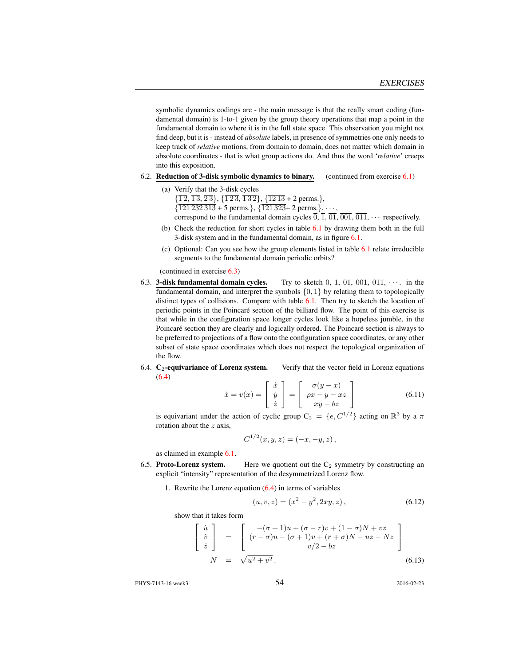symbolic dynamics codings are - the main message is that the really smart coding (fundamental domain) is 1-to-1 given by the group theory operations that map a point in the fundamental domain to where it is in the full state space. This observation you might not find deep, but it is - instead of *absolute* labels, in presence of symmetries one only needs to keep track of *relative* motions, from domain to domain, does not matter which domain in absolute coordinates - that is what group actions do. And thus the word '*relative*' creeps into this exposition.

- 6.2. Reduction of 3-disk symbolic dynamics to binary. (continued from exercise  $6.1$ )
	- (a) Verify that the 3-disk cycles
		- $\{\overline{12}, \overline{13}, \overline{23}\}, \{\overline{123}, \overline{132}\}, \{\overline{1213} \pm 2 \text{ perms.}\},$  $\{\overline{121\,232\,313} + 5$  perms.},  $\{\overline{121\,323} + 2$  perms.},  $\cdots$ ,
		- correspond to the fundamental domain cycles  $\overline{0}$ ,  $\overline{1}$ ,  $\overline{01}$ ,  $\overline{001}$ ,  $\overline{011}$ ,  $\cdots$  respectively.
	- (b) Check the reduction for short cycles in table 6.1 by drawing them both in the full 3-disk system and in the fundamental domain, as in figure 6.1.
	- (c) Optional: Can you see how the group elements listed in table 6.1 relate irreducible segments to the fundamental domain periodic orbits?

(continued in exercise 6.3)

- 6.3. **3-disk fundamental domain cycles.** Try to sketch  $\overline{0}$ ,  $\overline{1}$ ,  $\overline{01}$ ,  $\overline{001}$ ,  $\overline{011}$ ,  $\cdots$  in the fundamental domain, and interpret the symbols  $\{0, 1\}$  by relating them to topologically distinct types of collisions. Compare with table 6.1. Then try to sketch the location of periodic points in the Poincaré section of the billiard flow. The point of this exercise is that while in the configuration space longer cycles look like a hopeless jumble, in the Poincaré section they are clearly and logically ordered. The Poincaré section is always to be preferred to projections of a flow onto the configuration space coordinates, or any other subset of state space coordinates which does not respect the topological organization of the flow.
- 6.4.  $C_2$ -equivariance of Lorenz system. Verify that the vector field in Lorenz equations (6.4)

$$
\dot{x} = v(x) = \begin{bmatrix} \dot{x} \\ \dot{y} \\ \dot{z} \end{bmatrix} = \begin{bmatrix} \sigma(y - x) \\ \rho x - y - xz \\ xy - bz \end{bmatrix}
$$
(6.11)

is equivariant under the action of cyclic group  $C_2 = \{e, C^{1/2}\}\$ acting on  $\mathbb{R}^3$  by a  $\pi$ rotation about the  $z$  axis,

$$
C^{1/2}(x, y, z) = (-x, -y, z),
$$

as claimed in example 6.1.

- 6.5. Proto-Lorenz system. Here we quotient out the  $C_2$  symmetry by constructing an explicit "intensity" representation of the desymmetrized Lorenz flow.
	- 1. Rewrite the Lorenz equation  $(6.4)$  in terms of variables

$$
(u, v, z) = (x2 – y2, 2xy, z),
$$
\n(6.12)

show that it takes form

$$
\begin{bmatrix}\n\dot{u} \\
\dot{v} \\
\dot{z}\n\end{bmatrix} = \begin{bmatrix}\n-(\sigma+1)u + (\sigma-r)v + (1-\sigma)N + vz \\
(r-\sigma)u - (\sigma+1)v + (r+\sigma)N - uz - Nz \\
v/2 - bz\n\end{bmatrix}
$$
\n(6.13)

PHYS-7143-16 week3 2016-02-23 2016-02-23